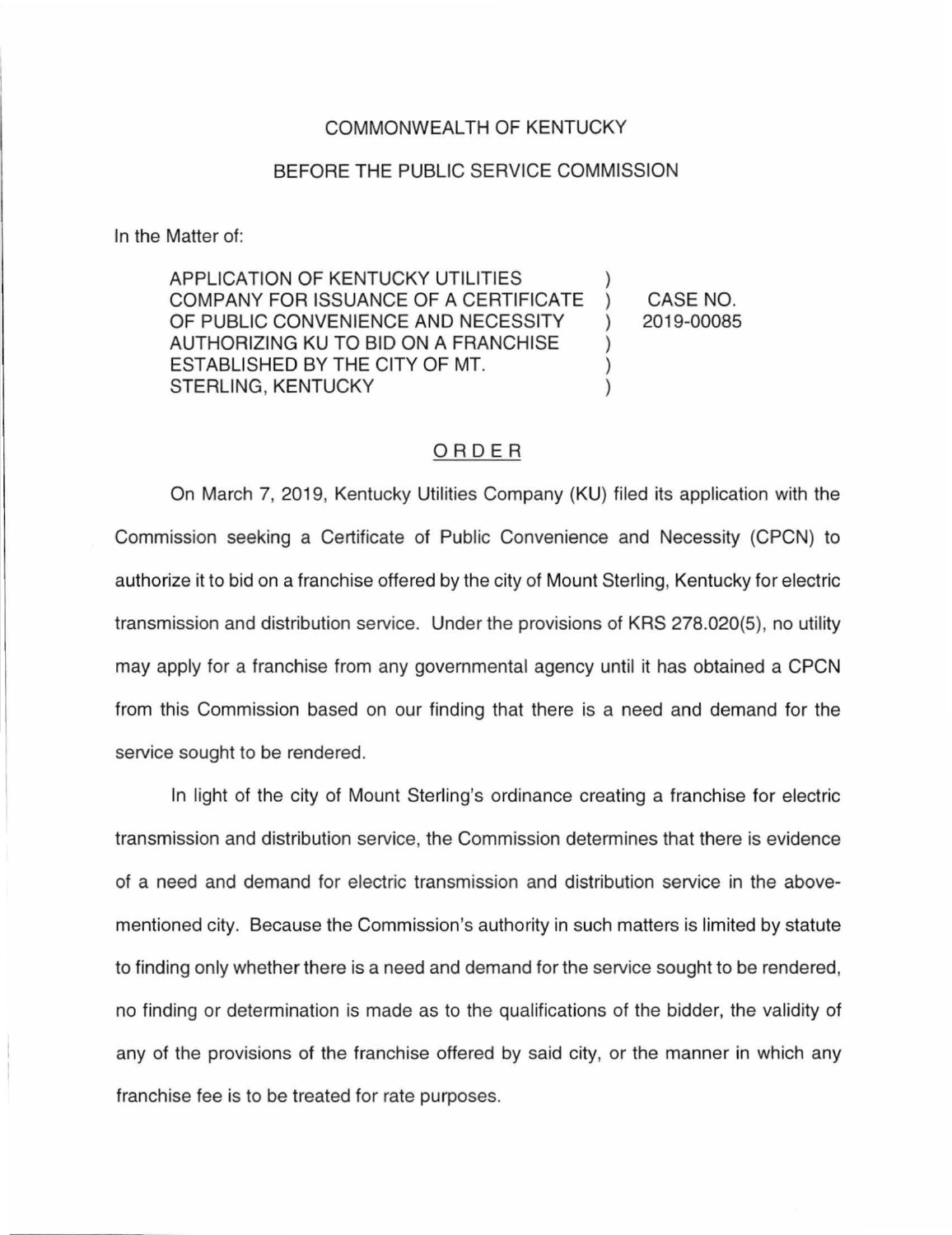## COMMONWEALTH OF KENTUCKY

## BEFORE THE PUBLIC SERVICE COMMISSION

In the Matter of:

APPLICATION OF KENTUCKY UTILITIES COMPANY FOR ISSUANCE OF A CERTIFICATE ) OF PUBLIC CONVENIENCE AND NECESSITY ) AUTHORIZING KU TO BID ON A FRANCHISE ESTABLISHED BY THE CITY OF MT. STERLING, KENTUCKY (1999) CASE NO. 2019-00085

## ORDER

On March 7, 2019, Kentucky Utilities Company (KU) filed its application with the Commission seeking a Certificate of Public Convenience and Necessity (CPCN) to authorize it to bid on a franchise offered by the city of Mount Sterling, Kentucky for electric transmission and distribution service. Under the provisions of KRS 278.020(5), no utility may apply for a franchise from any governmental agency until it has obtained a CPCN from this Commission based on our finding that there is a need and demand for the service sought to be rendered.

In light of the city of Mount Sterling's ordinance creating a franchise for electric transmission and distribution service, the Commission determines that there is evidence of a need and demand for electric transmission and distribution service in the abovementioned city. Because the Commission's authority in such matters is limited by statute to finding only whether there is a need and demand for the service sought to be rendered, no finding or determination is made as to the qualifications of the bidder, the validity of any of the provisions of the franchise offered by said city, or the manner in which any franchise fee is to be treated for rate purposes.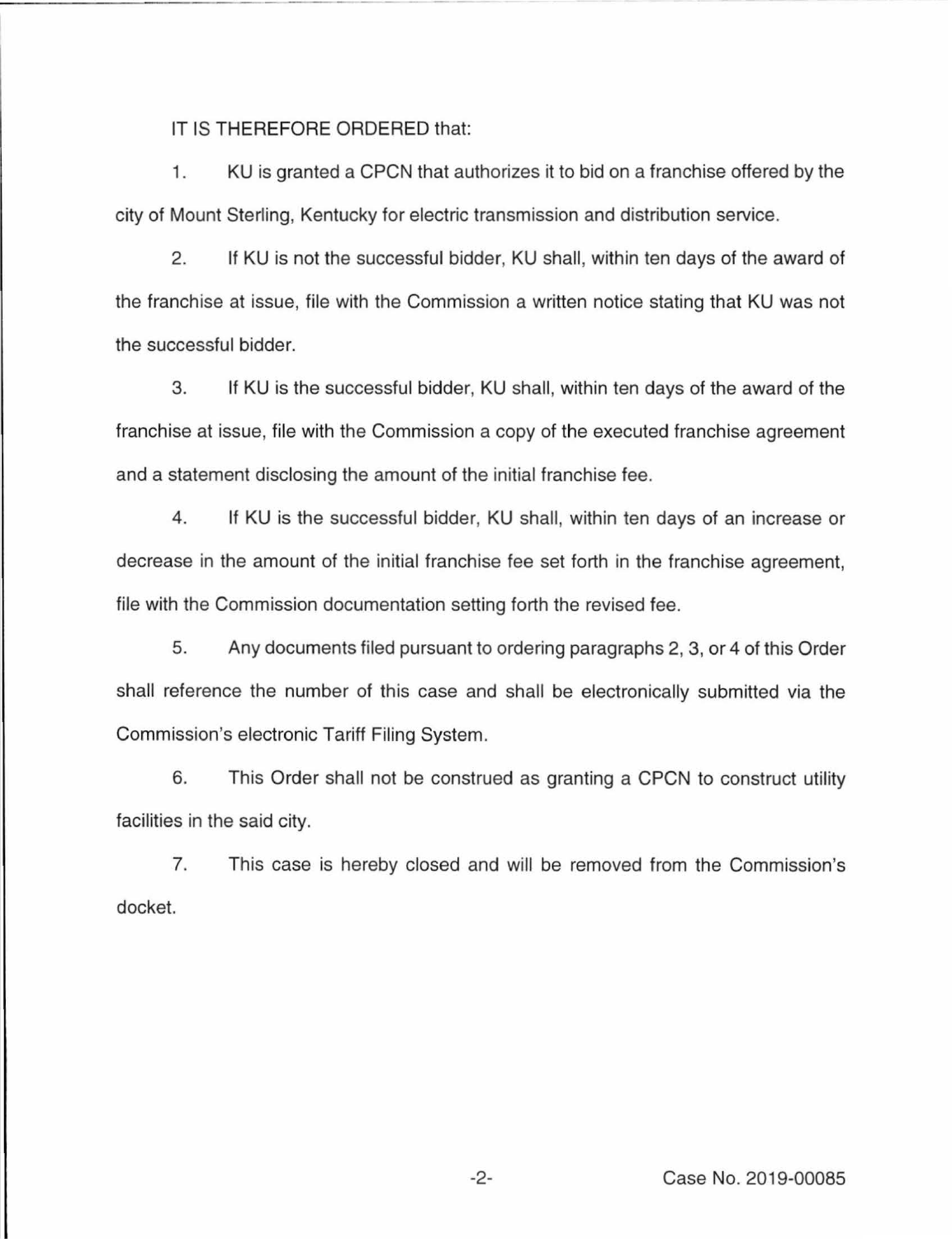IT IS THEREFORE ORDERED that:

1. KU is granted a CPCN that authorizes it to bid on a franchise offered by the city of Mount Sterling, Kentucky for electric transmission and distribution service.

2. If KU is not the successful bidder, KU shall, within ten days of the award of the franchise at issue, file with the Commission a written notice stating that KU was not the successful bidder.

3. If KU is the successful bidder, KU shall, within ten days of the award of the franchise at issue, file with the Commission a copy of the executed franchise agreement and a statement disclosing the amount of the initial franchise fee.

4. If KU is the successful bidder, KU shall, within ten days of an increase or decrease in the amount of the initial franchise fee set forth in the franchise agreement, file with the Commission documentation setting forth the revised fee.

5. Any documents filed pursuant to ordering paragraphs 2, 3, or 4 of this Order shall reference the number of this case and shall be electronically submitted via the Commission's electronic Tariff Filing System.

6. This Order shall not be construed as granting a CPCN to construct utility facilities in the said city.

7. This case is hereby closed and will be removed from the Commission's docket.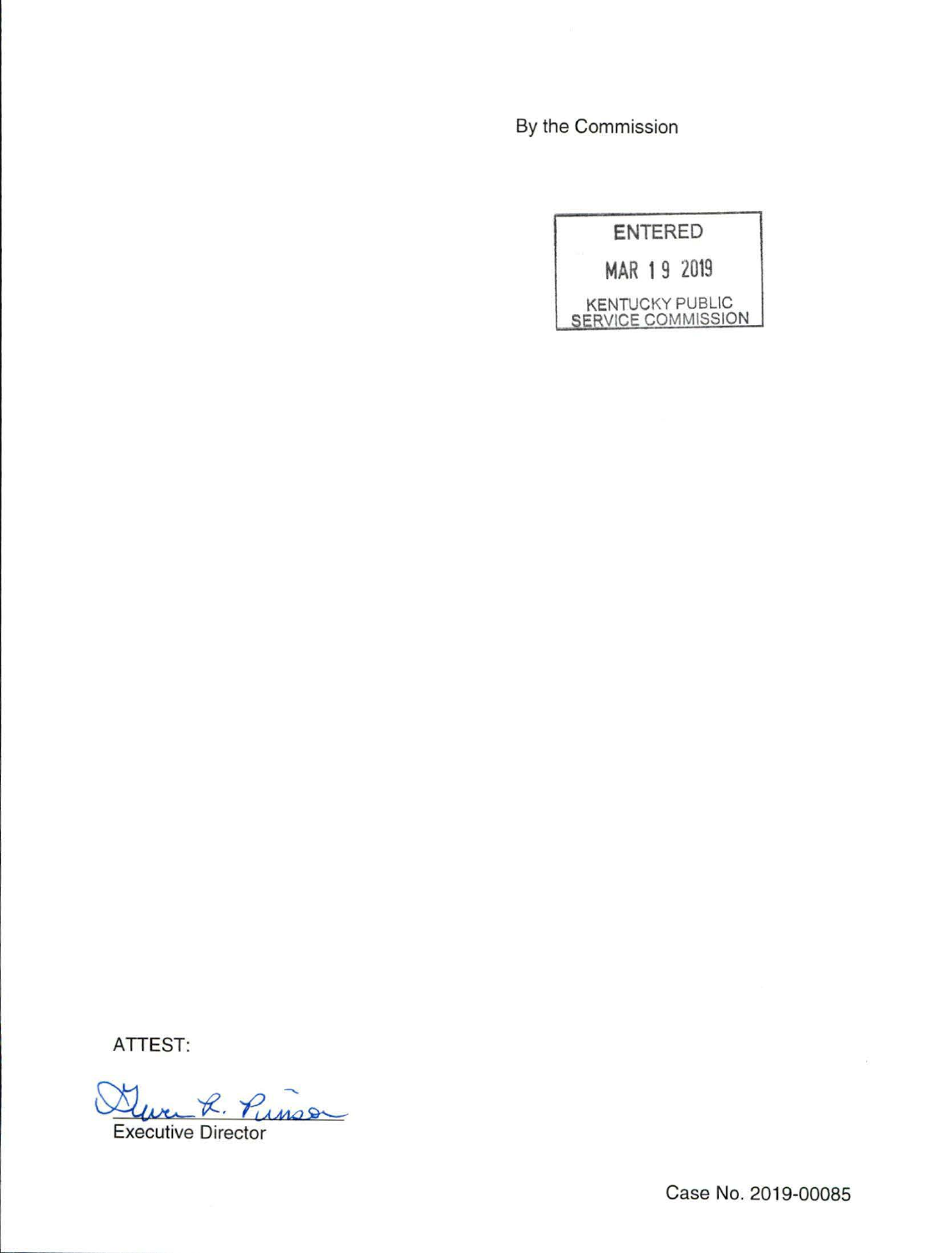By the Commission

| <b>ENTERED</b>                                      |  |
|-----------------------------------------------------|--|
| MAR 19 2019                                         |  |
| <b>KENTUCKY PUBLIC</b><br><b>SERVICE COMMISSION</b> |  |

ATTEST:

Were R. Punso

Case No. 2019-00085